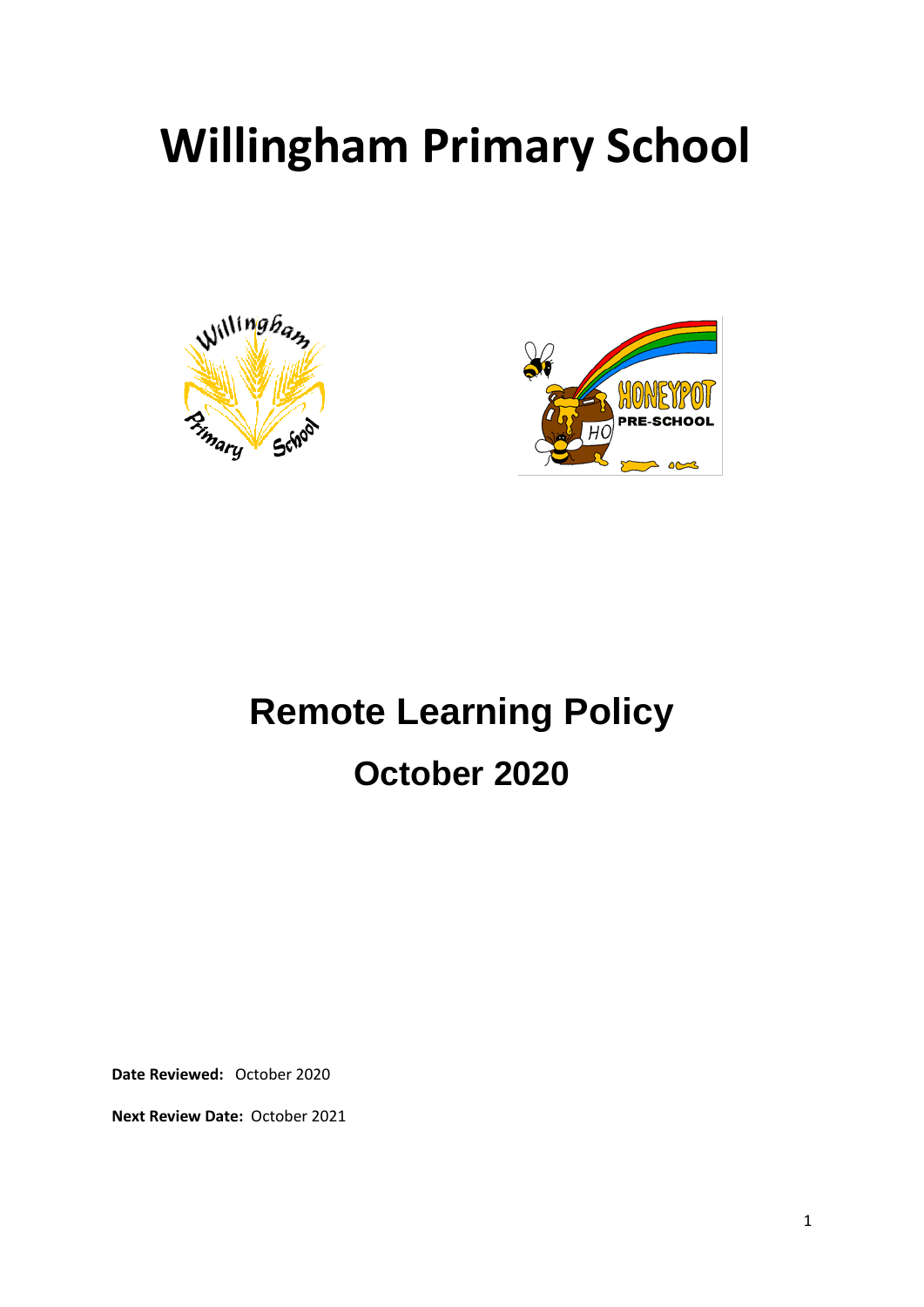# **Willingham Primary School**





## **Remote Learning Policy October 2020**

**Date Reviewed:** October 2020

**Next Review Date:** October 2021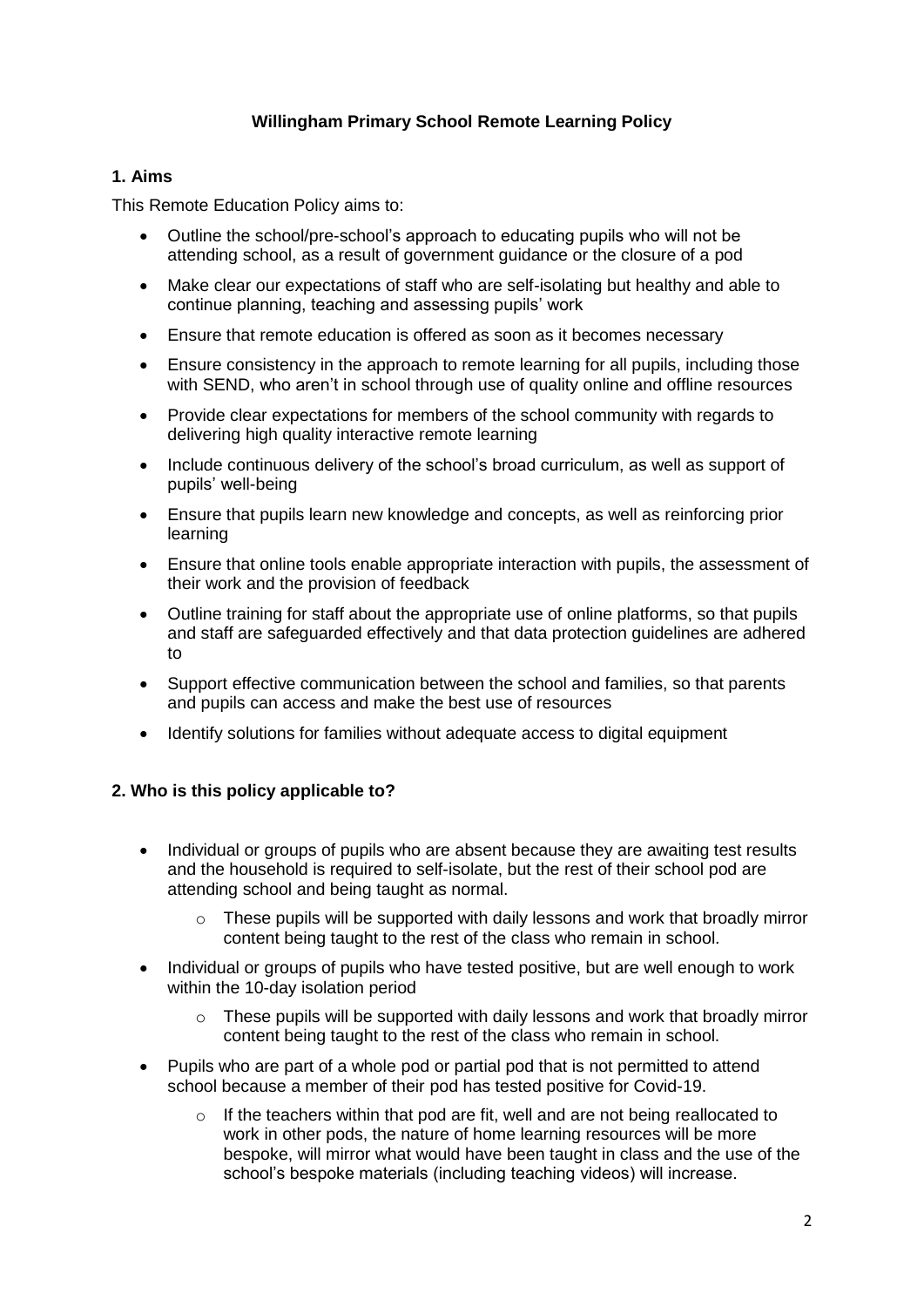## **Willingham Primary School Remote Learning Policy**

## **1. Aims**

This Remote Education Policy aims to:

- Outline the school/pre-school's approach to educating pupils who will not be attending school, as a result of government guidance or the closure of a pod
- Make clear our expectations of staff who are self-isolating but healthy and able to continue planning, teaching and assessing pupils' work
- Ensure that remote education is offered as soon as it becomes necessary
- Ensure consistency in the approach to remote learning for all pupils, including those with SEND, who aren't in school through use of quality online and offline resources
- Provide clear expectations for members of the school community with regards to delivering high quality interactive remote learning
- Include continuous delivery of the school's broad curriculum, as well as support of pupils' well-being
- Ensure that pupils learn new knowledge and concepts, as well as reinforcing prior learning
- Ensure that online tools enable appropriate interaction with pupils, the assessment of their work and the provision of feedback
- Outline training for staff about the appropriate use of online platforms, so that pupils and staff are safeguarded effectively and that data protection guidelines are adhered to
- Support effective communication between the school and families, so that parents and pupils can access and make the best use of resources
- Identify solutions for families without adequate access to digital equipment

## **2. Who is this policy applicable to?**

- Individual or groups of pupils who are absent because they are awaiting test results and the household is required to self-isolate, but the rest of their school pod are attending school and being taught as normal.
	- $\circ$  These pupils will be supported with daily lessons and work that broadly mirror content being taught to the rest of the class who remain in school.
- Individual or groups of pupils who have tested positive, but are well enough to work within the 10-day isolation period
	- o These pupils will be supported with daily lessons and work that broadly mirror content being taught to the rest of the class who remain in school.
- Pupils who are part of a whole pod or partial pod that is not permitted to attend school because a member of their pod has tested positive for Covid-19.
	- $\circ$  If the teachers within that pod are fit, well and are not being reallocated to work in other pods, the nature of home learning resources will be more bespoke, will mirror what would have been taught in class and the use of the school's bespoke materials (including teaching videos) will increase.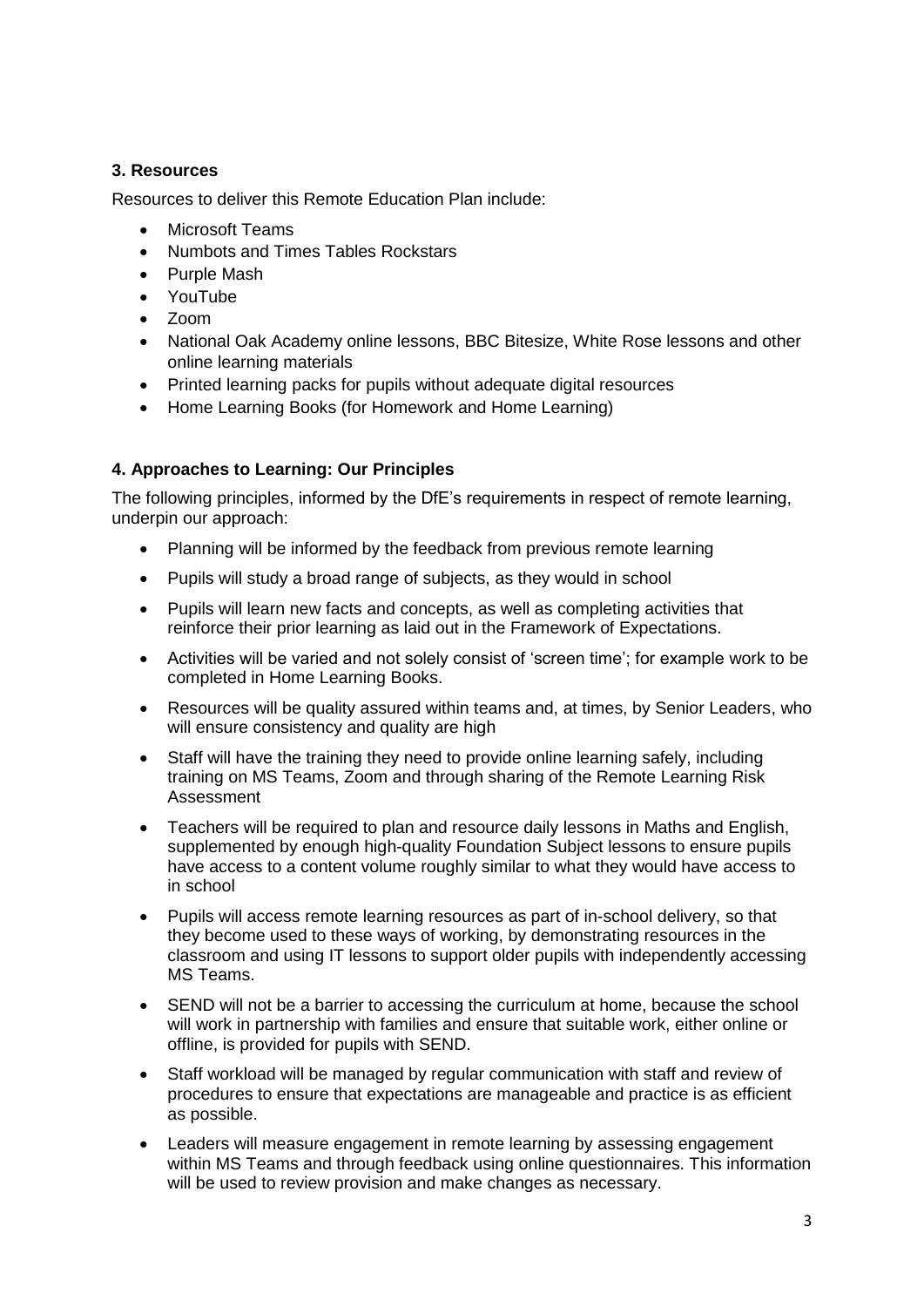## **3. Resources**

Resources to deliver this Remote Education Plan include:

- Microsoft Teams
- Numbots and Times Tables Rockstars
- Purple Mash
- YouTube
- $\bullet$   $\lambda$   $\lambda$   $\lambda$   $\lambda$
- National Oak Academy online lessons, BBC Bitesize, White Rose lessons and other online learning materials
- Printed learning packs for pupils without adequate digital resources
- Home Learning Books (for Homework and Home Learning)

## **4. Approaches to Learning: Our Principles**

The following principles, informed by the DfE's requirements in respect of remote learning, underpin our approach:

- Planning will be informed by the feedback from previous remote learning
- Pupils will study a broad range of subjects, as they would in school
- Pupils will learn new facts and concepts, as well as completing activities that reinforce their prior learning as laid out in the Framework of Expectations.
- Activities will be varied and not solely consist of 'screen time'; for example work to be completed in Home Learning Books.
- Resources will be quality assured within teams and, at times, by Senior Leaders, who will ensure consistency and quality are high
- Staff will have the training they need to provide online learning safely, including training on MS Teams, Zoom and through sharing of the Remote Learning Risk Assessment
- Teachers will be required to plan and resource daily lessons in Maths and English, supplemented by enough high-quality Foundation Subject lessons to ensure pupils have access to a content volume roughly similar to what they would have access to in school
- Pupils will access remote learning resources as part of in-school delivery, so that they become used to these ways of working, by demonstrating resources in the classroom and using IT lessons to support older pupils with independently accessing MS Teams.
- SEND will not be a barrier to accessing the curriculum at home, because the school will work in partnership with families and ensure that suitable work, either online or offline, is provided for pupils with SEND.
- Staff workload will be managed by regular communication with staff and review of procedures to ensure that expectations are manageable and practice is as efficient as possible.
- Leaders will measure engagement in remote learning by assessing engagement within MS Teams and through feedback using online questionnaires. This information will be used to review provision and make changes as necessary.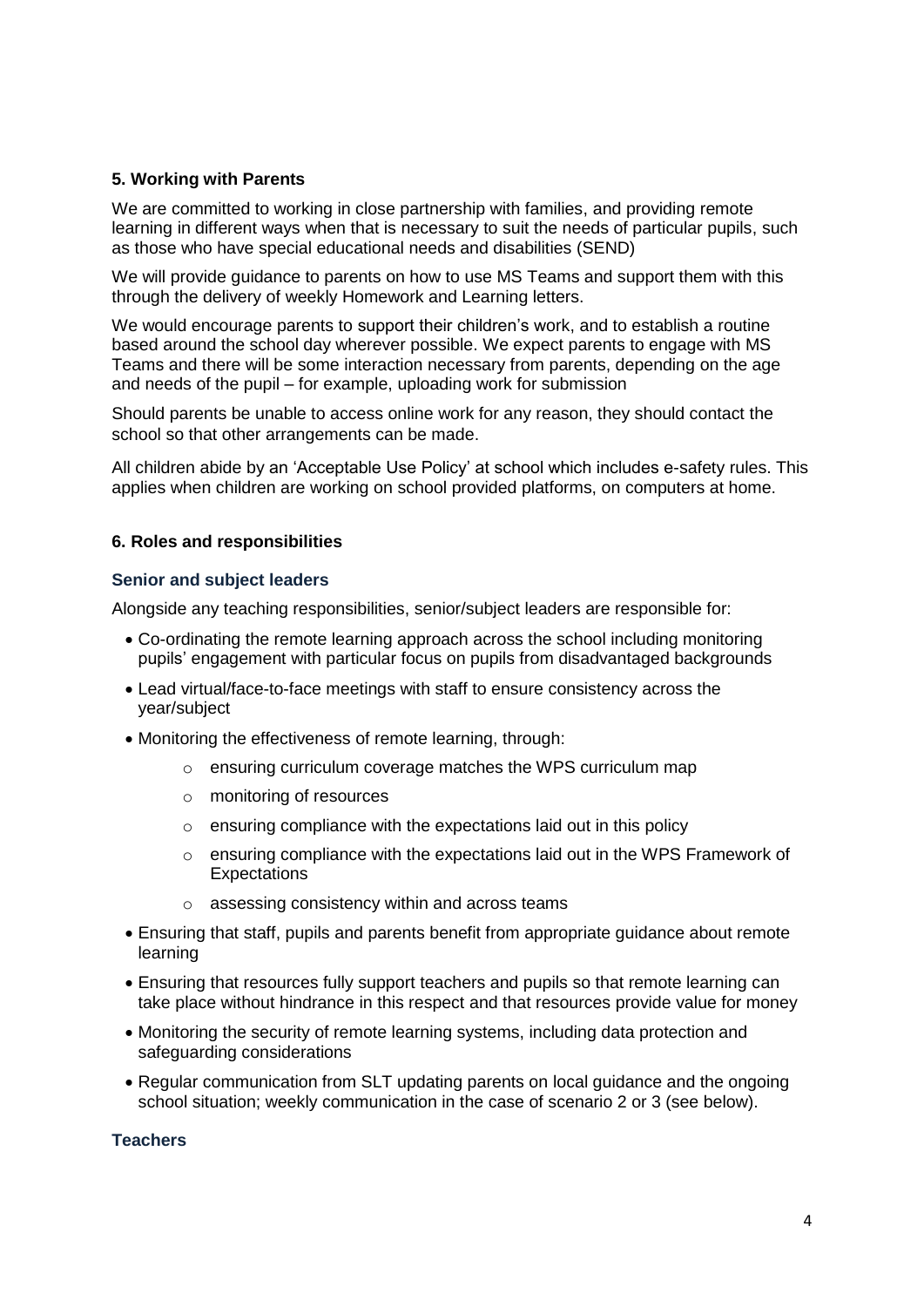## **5. Working with Parents**

We are committed to working in close partnership with families, and providing remote learning in different ways when that is necessary to suit the needs of particular pupils, such as those who have special educational needs and disabilities (SEND)

We will provide guidance to parents on how to use MS Teams and support them with this through the delivery of weekly Homework and Learning letters.

We would encourage parents to support their children's work, and to establish a routine based around the school day wherever possible. We expect parents to engage with MS Teams and there will be some interaction necessary from parents, depending on the age and needs of the pupil – for example, uploading work for submission

Should parents be unable to access online work for any reason, they should contact the school so that other arrangements can be made.

All children abide by an 'Acceptable Use Policy' at school which includes e-safety rules. This applies when children are working on school provided platforms, on computers at home.

## **6. Roles and responsibilities**

#### **Senior and subject leaders**

Alongside any teaching responsibilities, senior/subject leaders are responsible for:

- Co-ordinating the remote learning approach across the school including monitoring pupils' engagement with particular focus on pupils from disadvantaged backgrounds
- Lead virtual/face-to-face meetings with staff to ensure consistency across the year/subject
- Monitoring the effectiveness of remote learning, through:
	- o ensuring curriculum coverage matches the WPS curriculum map
	- o monitoring of resources
	- $\circ$  ensuring compliance with the expectations laid out in this policy
	- $\circ$  ensuring compliance with the expectations laid out in the WPS Framework of **Expectations**
	- o assessing consistency within and across teams
- Ensuring that staff, pupils and parents benefit from appropriate guidance about remote learning
- Ensuring that resources fully support teachers and pupils so that remote learning can take place without hindrance in this respect and that resources provide value for money
- Monitoring the security of remote learning systems, including data protection and safeguarding considerations
- Regular communication from SLT updating parents on local guidance and the ongoing school situation; weekly communication in the case of scenario 2 or 3 (see below).

#### **Teachers**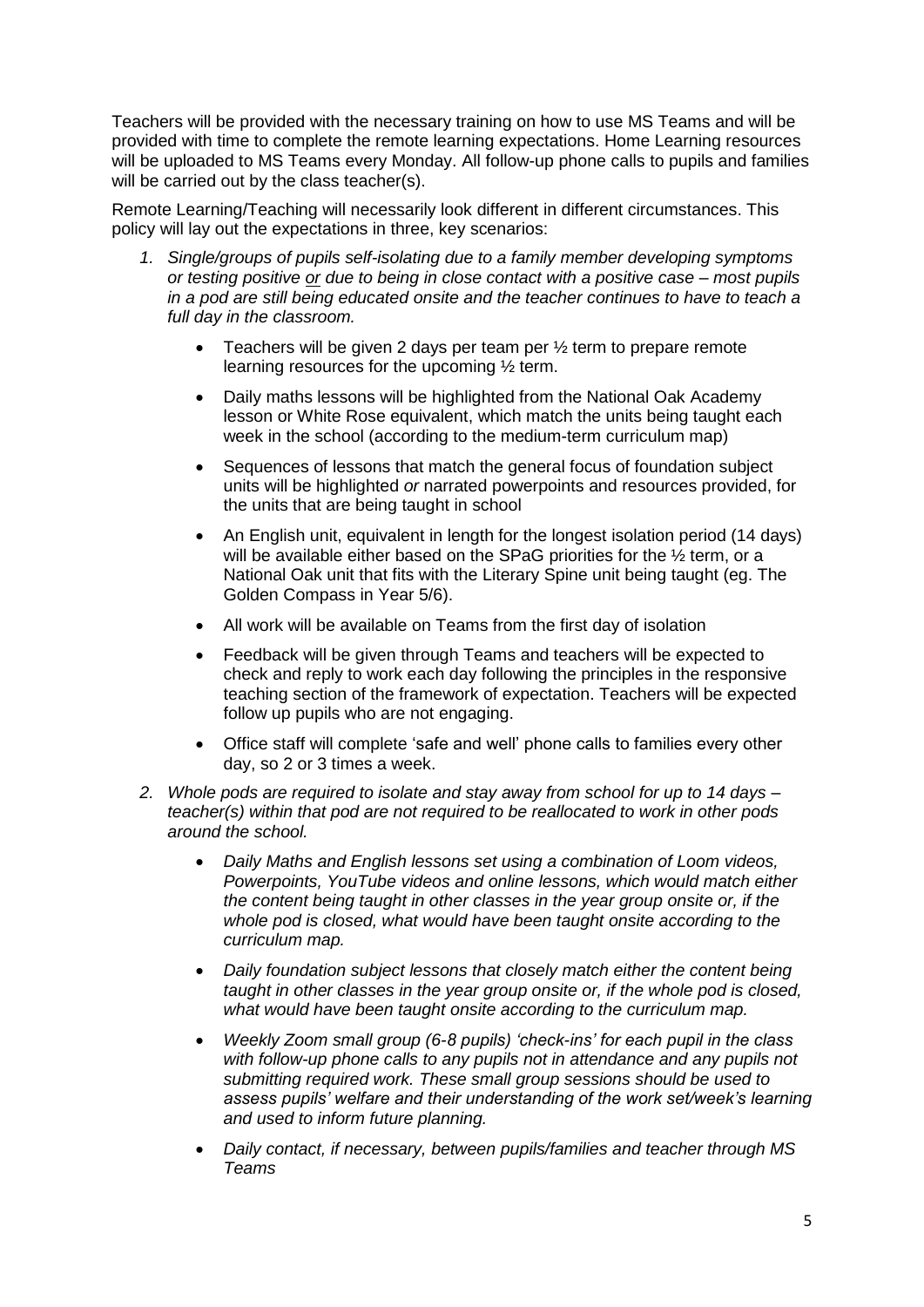Teachers will be provided with the necessary training on how to use MS Teams and will be provided with time to complete the remote learning expectations. Home Learning resources will be uploaded to MS Teams every Monday. All follow-up phone calls to pupils and families will be carried out by the class teacher(s).

Remote Learning/Teaching will necessarily look different in different circumstances. This policy will lay out the expectations in three, key scenarios:

- *1. Single/groups of pupils self-isolating due to a family member developing symptoms or testing positive or due to being in close contact with a positive case – most pupils in a pod are still being educated onsite and the teacher continues to have to teach a full day in the classroom.* 
	- Teachers will be given 2 days per team per ½ term to prepare remote learning resources for the upcoming ½ term.
	- Daily maths lessons will be highlighted from the National Oak Academy lesson or White Rose equivalent, which match the units being taught each week in the school (according to the medium-term curriculum map)
	- Sequences of lessons that match the general focus of foundation subject units will be highlighted *or* narrated powerpoints and resources provided, for the units that are being taught in school
	- An English unit, equivalent in length for the longest isolation period (14 days) will be available either based on the SPaG priorities for the 1/2 term, or a National Oak unit that fits with the Literary Spine unit being taught (eg. The Golden Compass in Year 5/6).
	- All work will be available on Teams from the first day of isolation
	- Feedback will be given through Teams and teachers will be expected to check and reply to work each day following the principles in the responsive teaching section of the framework of expectation. Teachers will be expected follow up pupils who are not engaging.
	- Office staff will complete 'safe and well' phone calls to families every other day, so 2 or 3 times a week.
- *2. Whole pods are required to isolate and stay away from school for up to 14 days – teacher(s) within that pod are not required to be reallocated to work in other pods around the school.* 
	- *Daily Maths and English lessons set using a combination of Loom videos, Powerpoints, YouTube videos and online lessons, which would match either the content being taught in other classes in the year group onsite or, if the whole pod is closed, what would have been taught onsite according to the curriculum map.*
	- *Daily foundation subject lessons that closely match either the content being taught in other classes in the year group onsite or, if the whole pod is closed, what would have been taught onsite according to the curriculum map.*
	- *Weekly Zoom small group (6-8 pupils) 'check-ins' for each pupil in the class*  with follow-up phone calls to any pupils not in attendance and any pupils not *submitting required work. These small group sessions should be used to assess pupils' welfare and their understanding of the work set/week's learning and used to inform future planning.*
	- *Daily contact, if necessary, between pupils/families and teacher through MS Teams*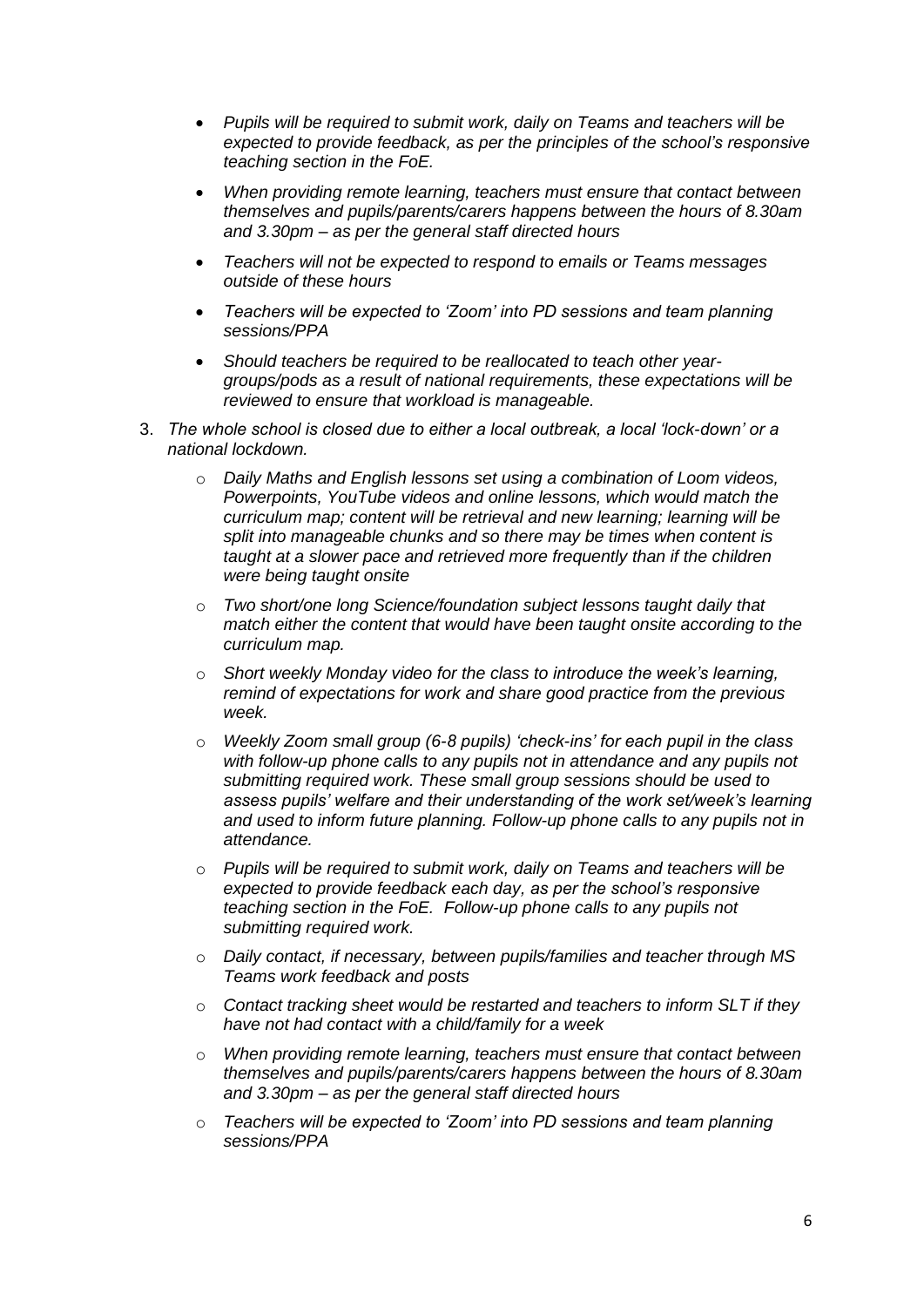- *Pupils will be required to submit work, daily on Teams and teachers will be expected to provide feedback, as per the principles of the school's responsive teaching section in the FoE.*
- *When providing remote learning, teachers must ensure that contact between themselves and pupils/parents/carers happens between the hours of 8.30am and 3.30pm – as per the general staff directed hours*
- *Teachers will not be expected to respond to emails or Teams messages outside of these hours*
- *Teachers will be expected to 'Zoom' into PD sessions and team planning sessions/PPA*
- *Should teachers be required to be reallocated to teach other yeargroups/pods as a result of national requirements, these expectations will be reviewed to ensure that workload is manageable.*
- 3. *The whole school is closed due to either a local outbreak, a local 'lock-down' or a national lockdown.* 
	- o *Daily Maths and English lessons set using a combination of Loom videos, Powerpoints, YouTube videos and online lessons, which would match the curriculum map; content will be retrieval and new learning; learning will be split into manageable chunks and so there may be times when content is taught at a slower pace and retrieved more frequently than if the children were being taught onsite*
	- o *Two short/one long Science/foundation subject lessons taught daily that match either the content that would have been taught onsite according to the curriculum map.*
	- o *Short weekly Monday video for the class to introduce the week's learning, remind of expectations for work and share good practice from the previous week.*
	- o *Weekly Zoom small group (6-8 pupils) 'check-ins' for each pupil in the class*  with follow-up phone calls to any pupils not in attendance and any pupils not *submitting required work. These small group sessions should be used to assess pupils' welfare and their understanding of the work set/week's learning and used to inform future planning. Follow-up phone calls to any pupils not in attendance.*
	- o *Pupils will be required to submit work, daily on Teams and teachers will be expected to provide feedback each day, as per the school's responsive teaching section in the FoE. Follow-up phone calls to any pupils not submitting required work.*
	- o *Daily contact, if necessary, between pupils/families and teacher through MS Teams work feedback and posts*
	- o *Contact tracking sheet would be restarted and teachers to inform SLT if they have not had contact with a child/family for a week*
	- o *When providing remote learning, teachers must ensure that contact between themselves and pupils/parents/carers happens between the hours of 8.30am and 3.30pm – as per the general staff directed hours*
	- o *Teachers will be expected to 'Zoom' into PD sessions and team planning sessions/PPA*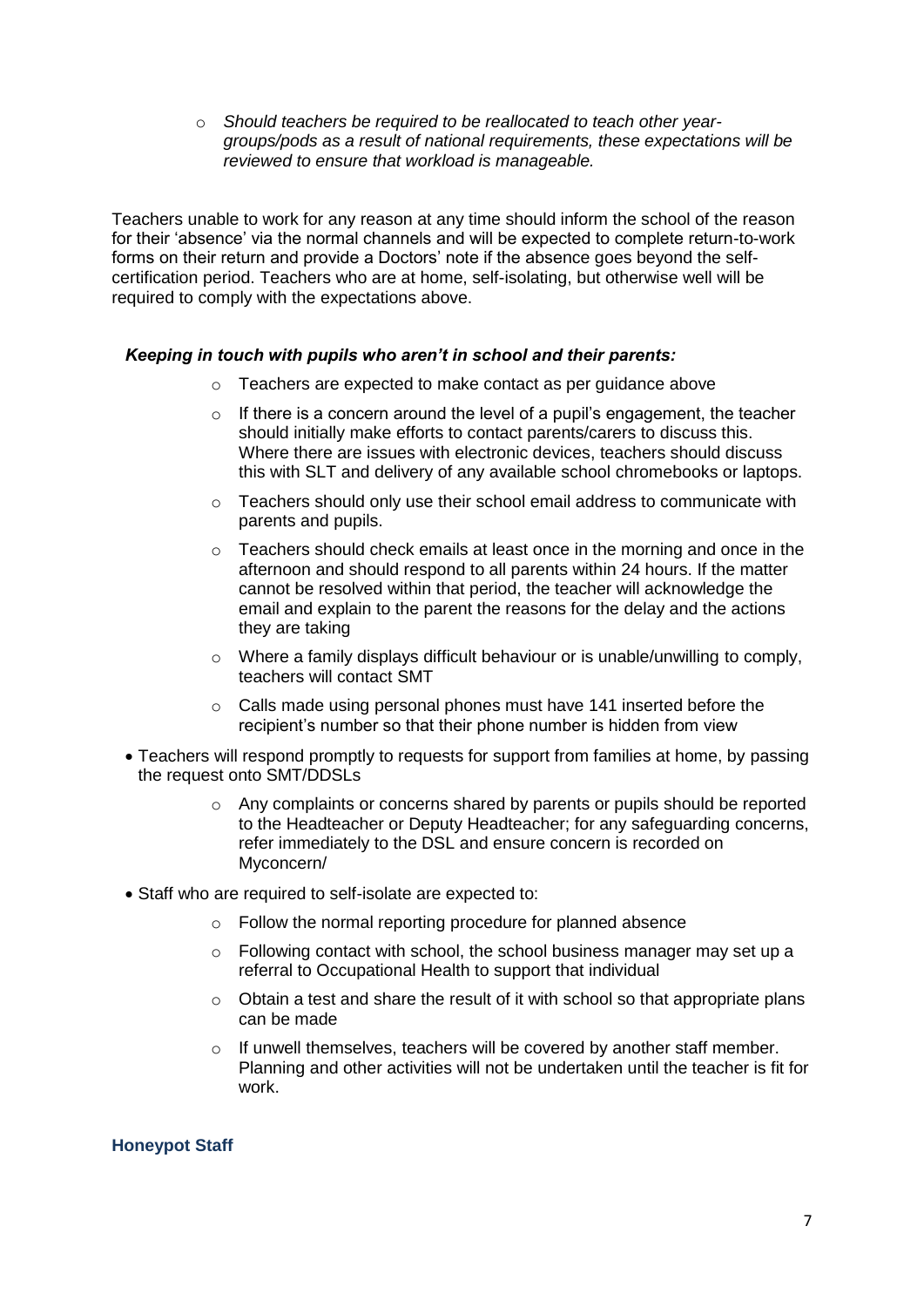o *Should teachers be required to be reallocated to teach other yeargroups/pods as a result of national requirements, these expectations will be reviewed to ensure that workload is manageable.*

Teachers unable to work for any reason at any time should inform the school of the reason for their 'absence' via the normal channels and will be expected to complete return-to-work forms on their return and provide a Doctors' note if the absence goes beyond the selfcertification period. Teachers who are at home, self-isolating, but otherwise well will be required to comply with the expectations above.

## *Keeping in touch with pupils who aren't in school and their parents:*

- o Teachers are expected to make contact as per guidance above
- $\circ$  If there is a concern around the level of a pupil's engagement, the teacher should initially make efforts to contact parents/carers to discuss this. Where there are issues with electronic devices, teachers should discuss this with SLT and delivery of any available school chromebooks or laptops.
- $\circ$  Teachers should only use their school email address to communicate with parents and pupils.
- $\circ$  Teachers should check emails at least once in the morning and once in the afternoon and should respond to all parents within 24 hours. If the matter cannot be resolved within that period, the teacher will acknowledge the email and explain to the parent the reasons for the delay and the actions they are taking
- $\circ$  Where a family displays difficult behaviour or is unable/unwilling to comply, teachers will contact SMT
- o Calls made using personal phones must have 141 inserted before the recipient's number so that their phone number is hidden from view
- Teachers will respond promptly to requests for support from families at home, by passing the request onto SMT/DDSLs
	- o Any complaints or concerns shared by parents or pupils should be reported to the Headteacher or Deputy Headteacher; for any safeguarding concerns, refer immediately to the DSL and ensure concern is recorded on Myconcern/
- Staff who are required to self-isolate are expected to:
	- o Follow the normal reporting procedure for planned absence
	- $\circ$  Following contact with school, the school business manager may set up a referral to Occupational Health to support that individual
	- o Obtain a test and share the result of it with school so that appropriate plans can be made
	- o If unwell themselves, teachers will be covered by another staff member. Planning and other activities will not be undertaken until the teacher is fit for work.

#### **Honeypot Staff**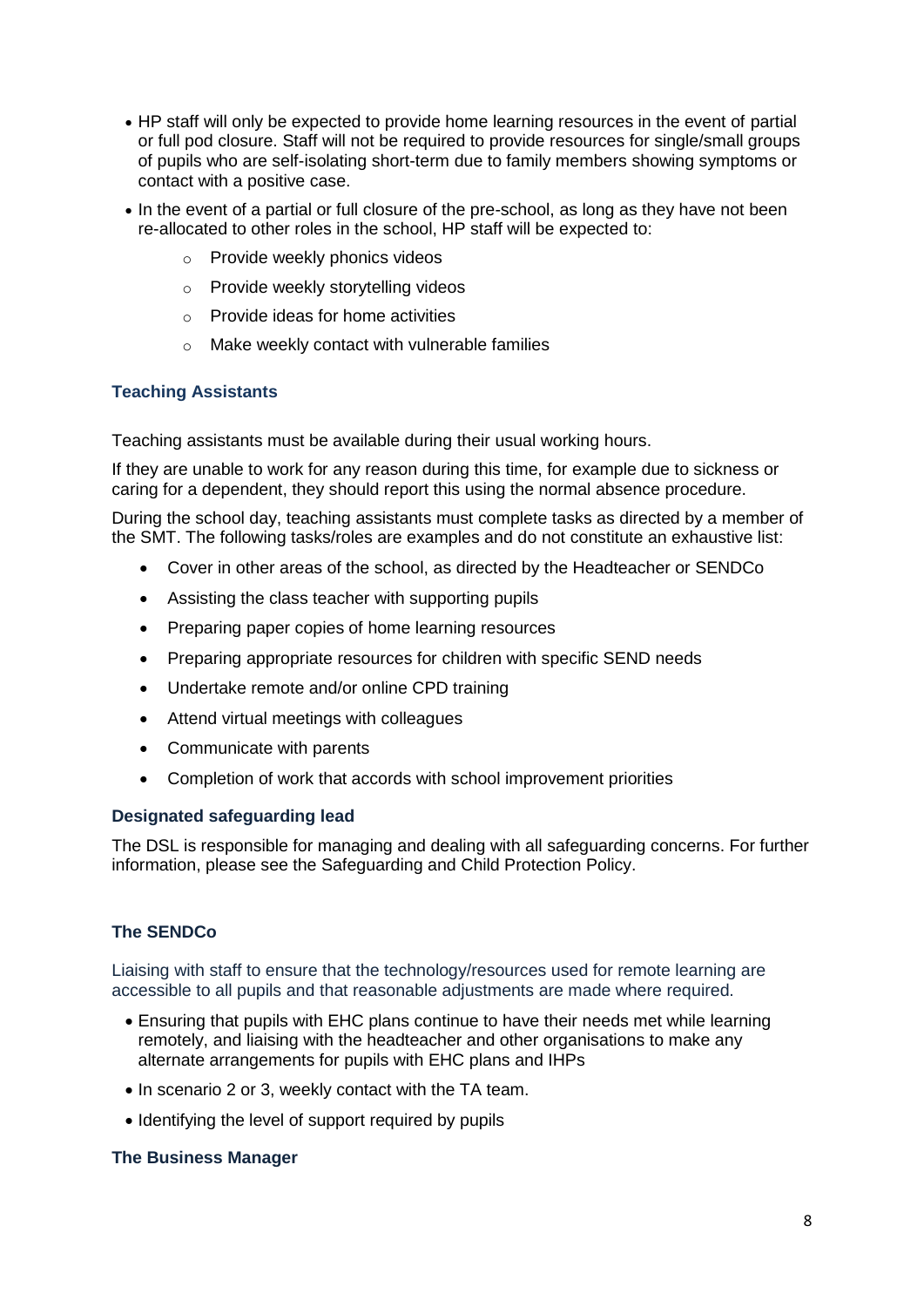- HP staff will only be expected to provide home learning resources in the event of partial or full pod closure. Staff will not be required to provide resources for single/small groups of pupils who are self-isolating short-term due to family members showing symptoms or contact with a positive case.
- In the event of a partial or full closure of the pre-school, as long as they have not been re-allocated to other roles in the school, HP staff will be expected to:
	- o Provide weekly phonics videos
	- o Provide weekly storytelling videos
	- o Provide ideas for home activities
	- o Make weekly contact with vulnerable families

## **Teaching Assistants**

Teaching assistants must be available during their usual working hours.

If they are unable to work for any reason during this time, for example due to sickness or caring for a dependent, they should report this using the normal absence procedure.

During the school day, teaching assistants must complete tasks as directed by a member of the SMT. The following tasks/roles are examples and do not constitute an exhaustive list:

- Cover in other areas of the school, as directed by the Headteacher or SENDCo
- Assisting the class teacher with supporting pupils
- Preparing paper copies of home learning resources
- Preparing appropriate resources for children with specific SEND needs
- Undertake remote and/or online CPD training
- Attend virtual meetings with colleagues
- Communicate with parents
- Completion of work that accords with school improvement priorities

#### **Designated safeguarding lead**

The DSL is responsible for managing and dealing with all safeguarding concerns. For further information, please see the Safeguarding and Child Protection Policy.

## **The SENDCo**

Liaising with staff to ensure that the technology/resources used for remote learning are accessible to all pupils and that reasonable adjustments are made where required.

- Ensuring that pupils with EHC plans continue to have their needs met while learning remotely, and liaising with the headteacher and other organisations to make any alternate arrangements for pupils with EHC plans and IHPs
- In scenario 2 or 3, weekly contact with the TA team.
- Identifying the level of support required by pupils

#### **The Business Manager**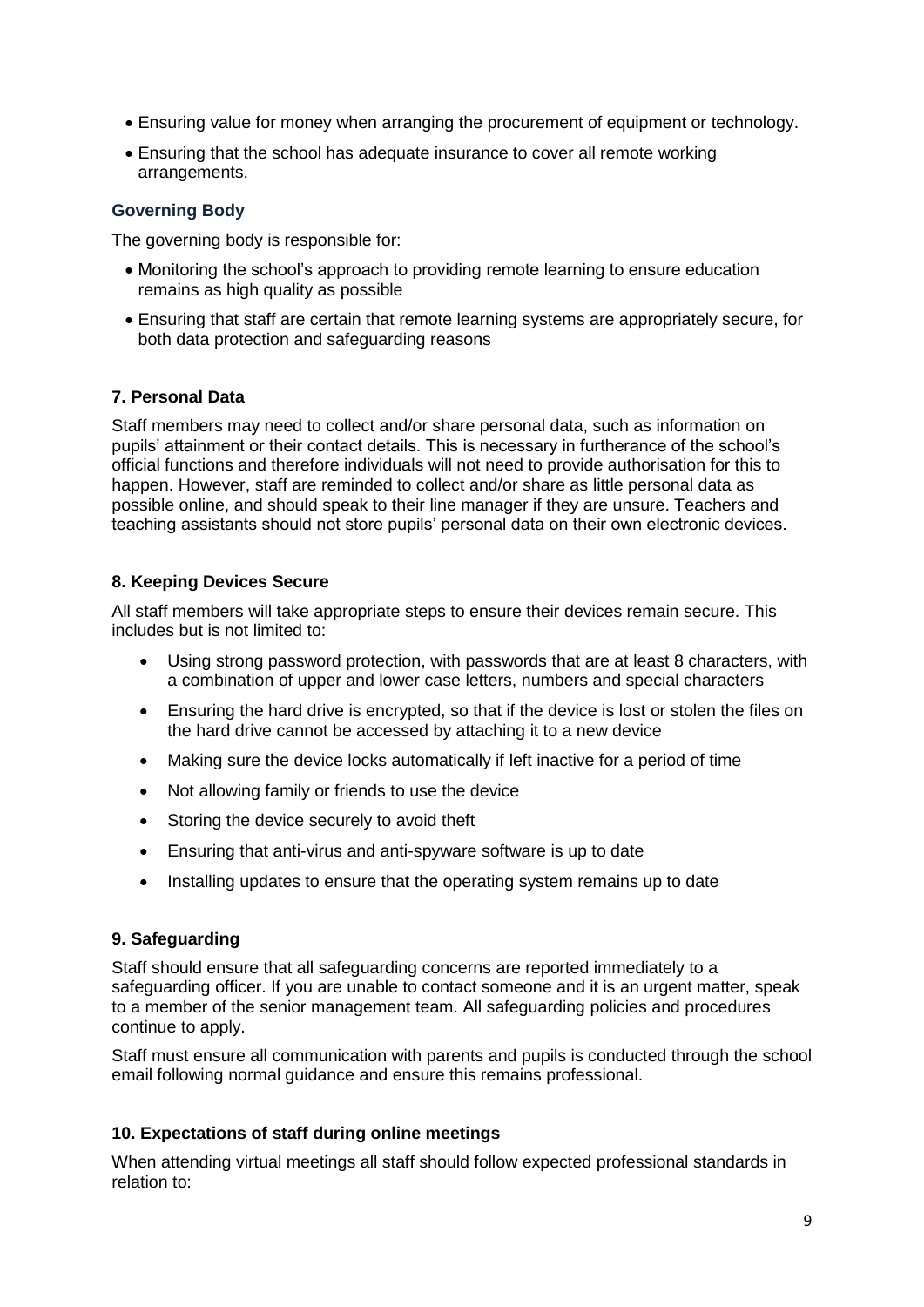- Ensuring value for money when arranging the procurement of equipment or technology.
- Ensuring that the school has adequate insurance to cover all remote working arrangements.

## **Governing Body**

The governing body is responsible for:

- Monitoring the school's approach to providing remote learning to ensure education remains as high quality as possible
- Ensuring that staff are certain that remote learning systems are appropriately secure, for both data protection and safeguarding reasons

## **7. Personal Data**

Staff members may need to collect and/or share personal data, such as information on pupils' attainment or their contact details. This is necessary in furtherance of the school's official functions and therefore individuals will not need to provide authorisation for this to happen. However, staff are reminded to collect and/or share as little personal data as possible online, and should speak to their line manager if they are unsure. Teachers and teaching assistants should not store pupils' personal data on their own electronic devices.

## **8. Keeping Devices Secure**

All staff members will take appropriate steps to ensure their devices remain secure. This includes but is not limited to:

- Using strong password protection, with passwords that are at least 8 characters, with a combination of upper and lower case letters, numbers and special characters
- Ensuring the hard drive is encrypted, so that if the device is lost or stolen the files on the hard drive cannot be accessed by attaching it to a new device
- Making sure the device locks automatically if left inactive for a period of time
- Not allowing family or friends to use the device
- Storing the device securely to avoid theft
- Ensuring that anti-virus and anti-spyware software is up to date
- Installing updates to ensure that the operating system remains up to date

## **9. Safeguarding**

Staff should ensure that all safeguarding concerns are reported immediately to a safeguarding officer. If you are unable to contact someone and it is an urgent matter, speak to a member of the senior management team. All safeguarding policies and procedures continue to apply.

Staff must ensure all communication with parents and pupils is conducted through the school email following normal guidance and ensure this remains professional.

## **10. Expectations of staff during online meetings**

When attending virtual meetings all staff should follow expected professional standards in relation to: